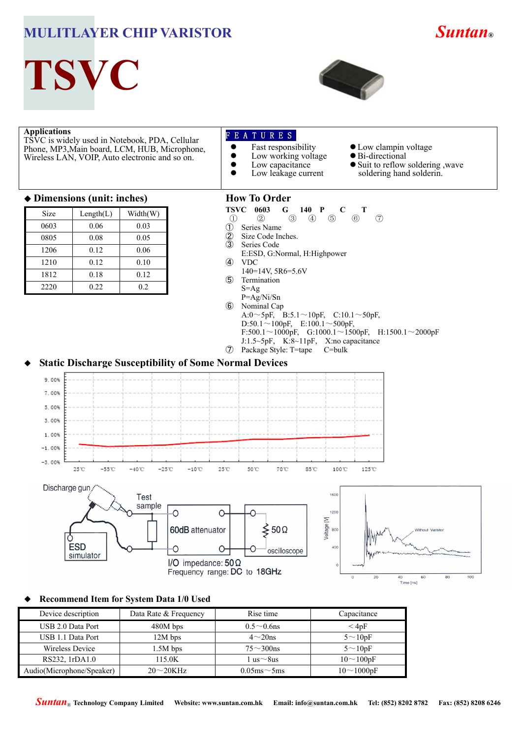# **MULITLAYER CHIP VARISTOR** *Suntan***®**



**TSVC**



#### **Applications**

TSVC is widely used in Notebook, PDA, Cellular Phone, MP3,Main board, LCM, HUB, Microphone, Wireless LAN, VOIP, Auto electronic and so on.

## F E A T U R E S

- Fast responsibility  $\bullet$  Low working voltage
	-
	- Low capacitance Low leakage current
- 
- 
- Low clampin voltage Bi-directional
- Suit to reflow soldering , wave soldering hand solderin.

#### ◆ **Dimensions (unit: inches)**

| Size | Length(L) | Width(W) |
|------|-----------|----------|
| 0603 | 0.06      | 0.03     |
| 0805 | 0.08      | 0.05     |
| 1206 | 0.12      | 0.06     |
| 1210 | 0.12      | 0.10     |
| 1812 | 0.18      | 0.12     |
| 2220 | 0.22      | 0.2      |

#### **How To Order**

- **TSVC 0603 G 140 P C T**  $\overline{C}$  **T**  $\overline{D}$   $\overline{D}$   $\overline{D}$   $\overline{D}$   $\overline{D}$   $\overline{D}$   $\overline{D}$   $\overline{D}$   $\overline{D}$   $\overline{D}$   $\overline{D}$   $\overline{D}$   $\overline{D}$   $\overline{D}$   $\overline{D}$   $\overline{D}$   $\overline{D}$   $\overline{D}$   $\overline{D}$   $\overline{D}$   $\overline$
- ① ② ③ ④ ⑤ ⑥ ⑦
- ① Series Name
- 2 Size Code Inches.<br>3 Series Code
- Series Code
- E:ESD, G:Normal, H:Highpower ④ VDC
	- 140=14V, 5R6=5.6V
- ⑤ Termination S=Ag
- P=Ag/Ni/Sn
- ⑥ Nominal Cap A: $0 \sim 5p$ F, B:5.1 $\sim$ 10pF, C:10.1 $\sim$ 50pF,  $D:50.1 \sim 100pF$ , E:100.1 $\sim$ 500pF, F:500.1~1000pF, G:1000.1~1500pF, H:1500.1~2000pF J:1.5~5pF, K:8~11pF, X:no capacitance
- ⑦ Package Style: T=tape C=bulk

### **Static Discharge Susceptibility of Some Normal Devices**







#### ◆ **Recommend Item for System Data 1/0 Used**

| Device description        | Data Rate & Frequency | Rise time            | Capacitance      |  |
|---------------------------|-----------------------|----------------------|------------------|--|
| USB 2.0 Data Port         | $480M$ bps            | $0.5 \sim 0.6$ ns    | $\leq 4pF$       |  |
| USB 1.1 Data Port         | $12M$ bps             | $4\sim20$ ns         | $5 \sim 10pF$    |  |
| Wireless Device           | $1.5M$ bps            | $75\sim300$ ns       | $5 \sim 10pF$    |  |
| RS232, 1rDA1.0            | 115.0K                | 1 us∼8us             | $10 \sim 100pF$  |  |
| Audio(Microphone/Speaker) | $20\sim20K$ Hz        | $0.05$ ms $\sim$ 5ms | $10 \sim 1000pF$ |  |